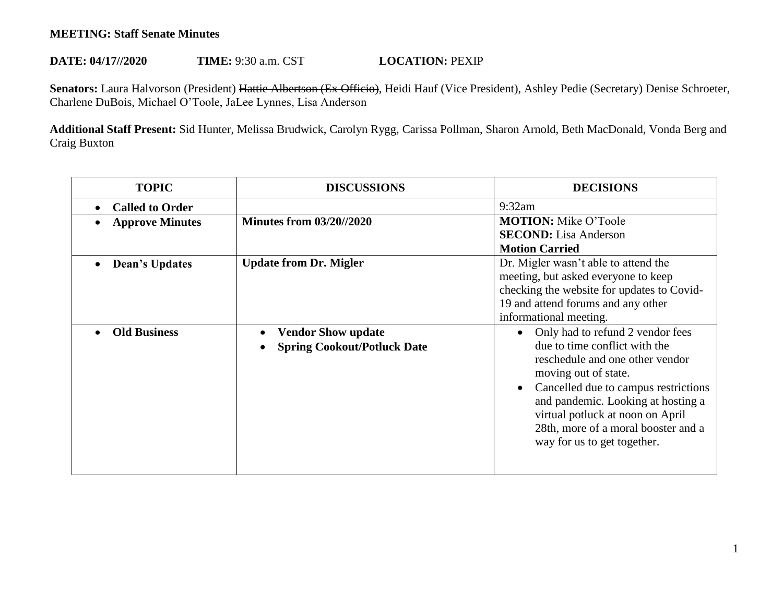## **MEETING: Staff Senate Minutes**

## **DATE: 04/17//2020 TIME: 9:30 a.m. CST <b>LOCATION: PEXIP**

Senators: Laura Halvorson (President) Hattie Albertson (Ex Officio), Heidi Hauf (Vice President), Ashley Pedie (Secretary) Denise Schroeter, Charlene DuBois, Michael O'Toole, JaLee Lynnes, Lisa Anderson

**Additional Staff Present:** Sid Hunter, Melissa Brudwick, Carolyn Rygg, Carissa Pollman, Sharon Arnold, Beth MacDonald, Vonda Berg and Craig Buxton

| <b>TOPIC</b>           | <b>DISCUSSIONS</b>                                              | <b>DECISIONS</b>                                                                                                                                                                                                                                                                                                     |
|------------------------|-----------------------------------------------------------------|----------------------------------------------------------------------------------------------------------------------------------------------------------------------------------------------------------------------------------------------------------------------------------------------------------------------|
| <b>Called to Order</b> |                                                                 | 9:32am                                                                                                                                                                                                                                                                                                               |
| <b>Approve Minutes</b> | <b>Minutes from 03/20//2020</b>                                 | <b>MOTION:</b> Mike O'Toole                                                                                                                                                                                                                                                                                          |
|                        |                                                                 | <b>SECOND:</b> Lisa Anderson<br><b>Motion Carried</b>                                                                                                                                                                                                                                                                |
| <b>Dean's Updates</b>  | <b>Update from Dr. Migler</b>                                   | Dr. Migler wasn't able to attend the<br>meeting, but asked everyone to keep<br>checking the website for updates to Covid-<br>19 and attend forums and any other<br>informational meeting.                                                                                                                            |
| <b>Old Business</b>    | <b>Vendor Show update</b><br><b>Spring Cookout/Potluck Date</b> | Only had to refund 2 vendor fees<br>due to time conflict with the<br>reschedule and one other vendor<br>moving out of state.<br>Cancelled due to campus restrictions<br>and pandemic. Looking at hosting a<br>virtual potluck at noon on April<br>28th, more of a moral booster and a<br>way for us to get together. |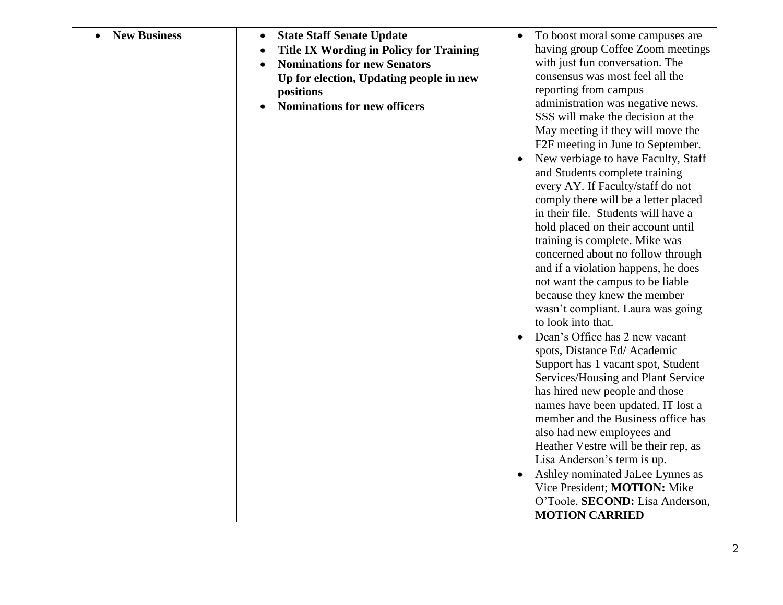| <b>New Business</b> | <b>State Staff Senate Update</b><br>$\bullet$  | To boost moral some campuses are<br>$\bullet$ |
|---------------------|------------------------------------------------|-----------------------------------------------|
|                     | <b>Title IX Wording in Policy for Training</b> | having group Coffee Zoom meetings             |
|                     | <b>Nominations for new Senators</b>            | with just fun conversation. The               |
|                     | Up for election, Updating people in new        | consensus was most feel all the               |
|                     | positions                                      | reporting from campus                         |
|                     | <b>Nominations for new officers</b>            | administration was negative news.             |
|                     |                                                | SSS will make the decision at the             |
|                     |                                                | May meeting if they will move the             |
|                     |                                                | F2F meeting in June to September.             |
|                     |                                                | New verbiage to have Faculty, Staff           |
|                     |                                                | and Students complete training                |
|                     |                                                | every AY. If Faculty/staff do not             |
|                     |                                                | comply there will be a letter placed          |
|                     |                                                | in their file. Students will have a           |
|                     |                                                | hold placed on their account until            |
|                     |                                                | training is complete. Mike was                |
|                     |                                                | concerned about no follow through             |
|                     |                                                | and if a violation happens, he does           |
|                     |                                                | not want the campus to be liable              |
|                     |                                                | because they knew the member                  |
|                     |                                                | wasn't compliant. Laura was going             |
|                     |                                                | to look into that.                            |
|                     |                                                | Dean's Office has 2 new vacant                |
|                     |                                                | spots, Distance Ed/Academic                   |
|                     |                                                | Support has 1 vacant spot, Student            |
|                     |                                                | Services/Housing and Plant Service            |
|                     |                                                | has hired new people and those                |
|                     |                                                | names have been updated. IT lost a            |
|                     |                                                | member and the Business office has            |
|                     |                                                | also had new employees and                    |
|                     |                                                | Heather Vestre will be their rep, as          |
|                     |                                                | Lisa Anderson's term is up.                   |
|                     |                                                | Ashley nominated JaLee Lynnes as              |
|                     |                                                | Vice President; MOTION: Mike                  |
|                     |                                                | O'Toole, SECOND: Lisa Anderson,               |
|                     |                                                | <b>MOTION CARRIED</b>                         |